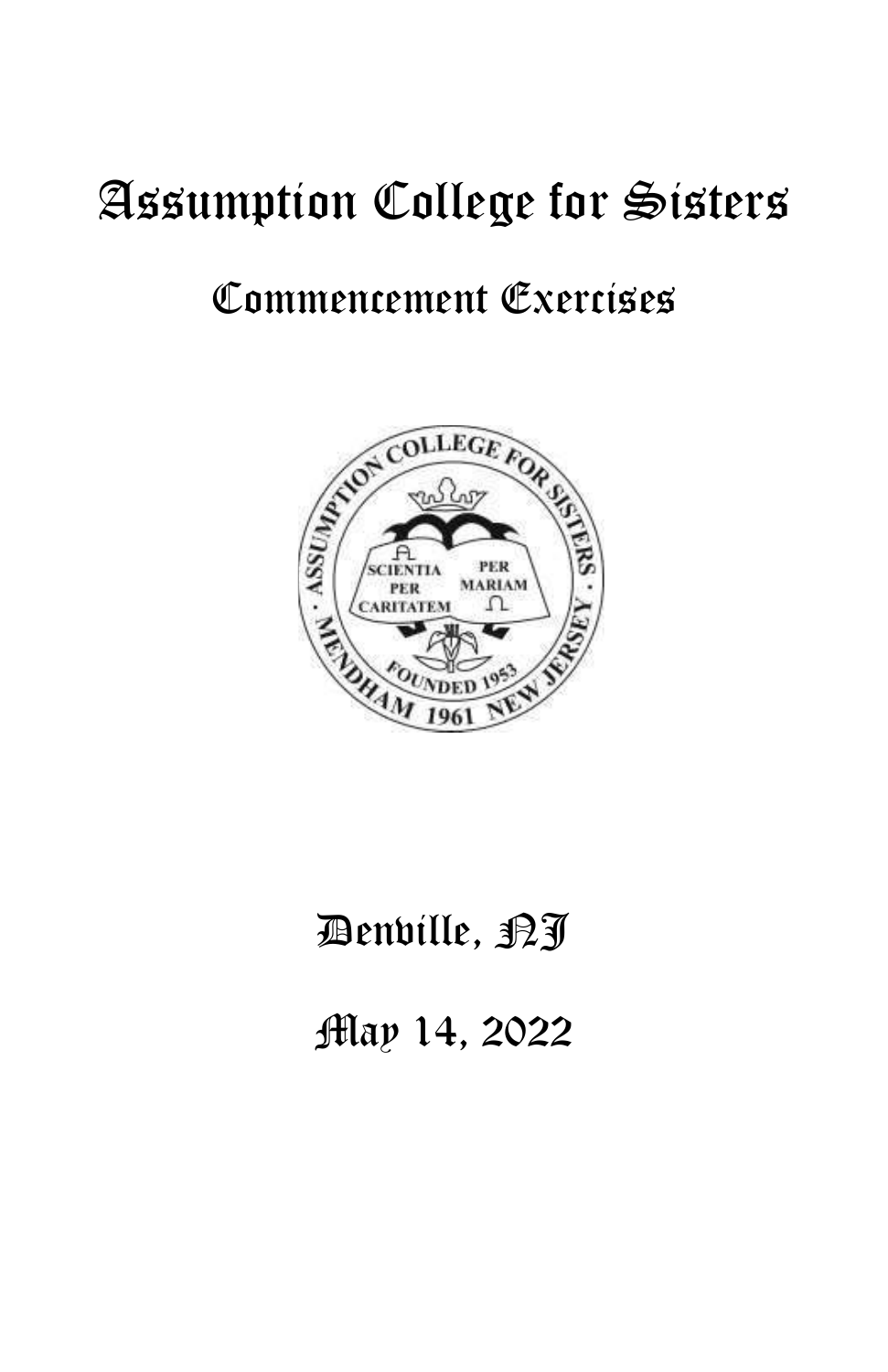# Assumption College for Sisters

### Commencement Exercises



## Benville, <sub>PJ</sub>

May 14, 2022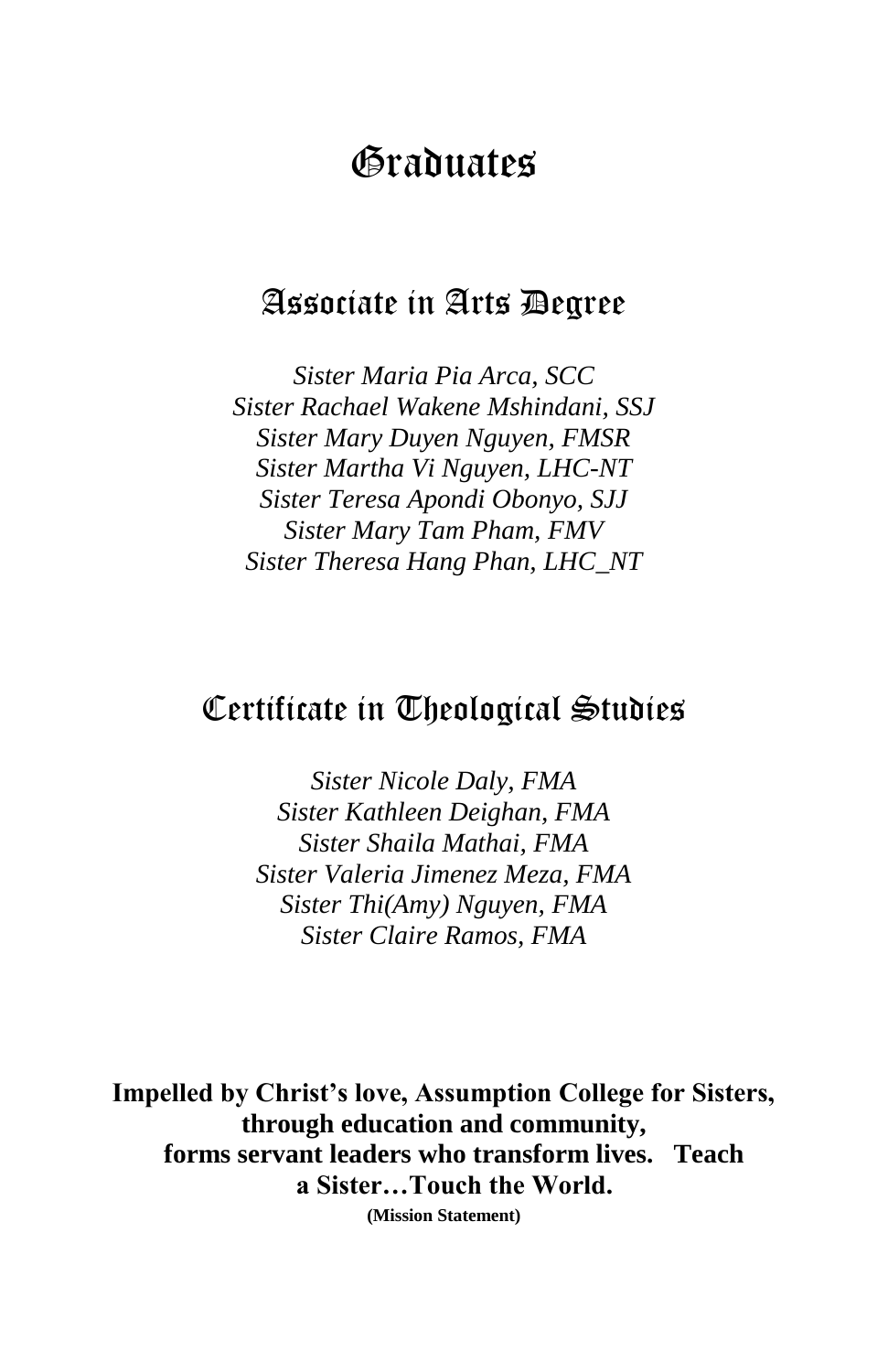### Graduates

#### Associate in Arts Degree

*Sister Maria Pia Arca, SCC Sister Rachael Wakene Mshindani, SSJ Sister Mary Duyen Nguyen, FMSR Sister Martha Vi Nguyen, LHC-NT Sister Teresa Apondi Obonyo, SJJ Sister Mary Tam Pham, FMV Sister Theresa Hang Phan, LHC\_NT*

#### Certificate in Theological Studies

*Sister Nicole Daly, FMA Sister Kathleen Deighan, FMA Sister Shaila Mathai, FMA Sister Valeria Jimenez Meza, FMA Sister Thi(Amy) Nguyen, FMA Sister Claire Ramos, FMA*

**Impelled by Christ's love, Assumption College for Sisters, through education and community, forms servant leaders who transform lives. Teach a Sister…Touch the World. (Mission Statement)**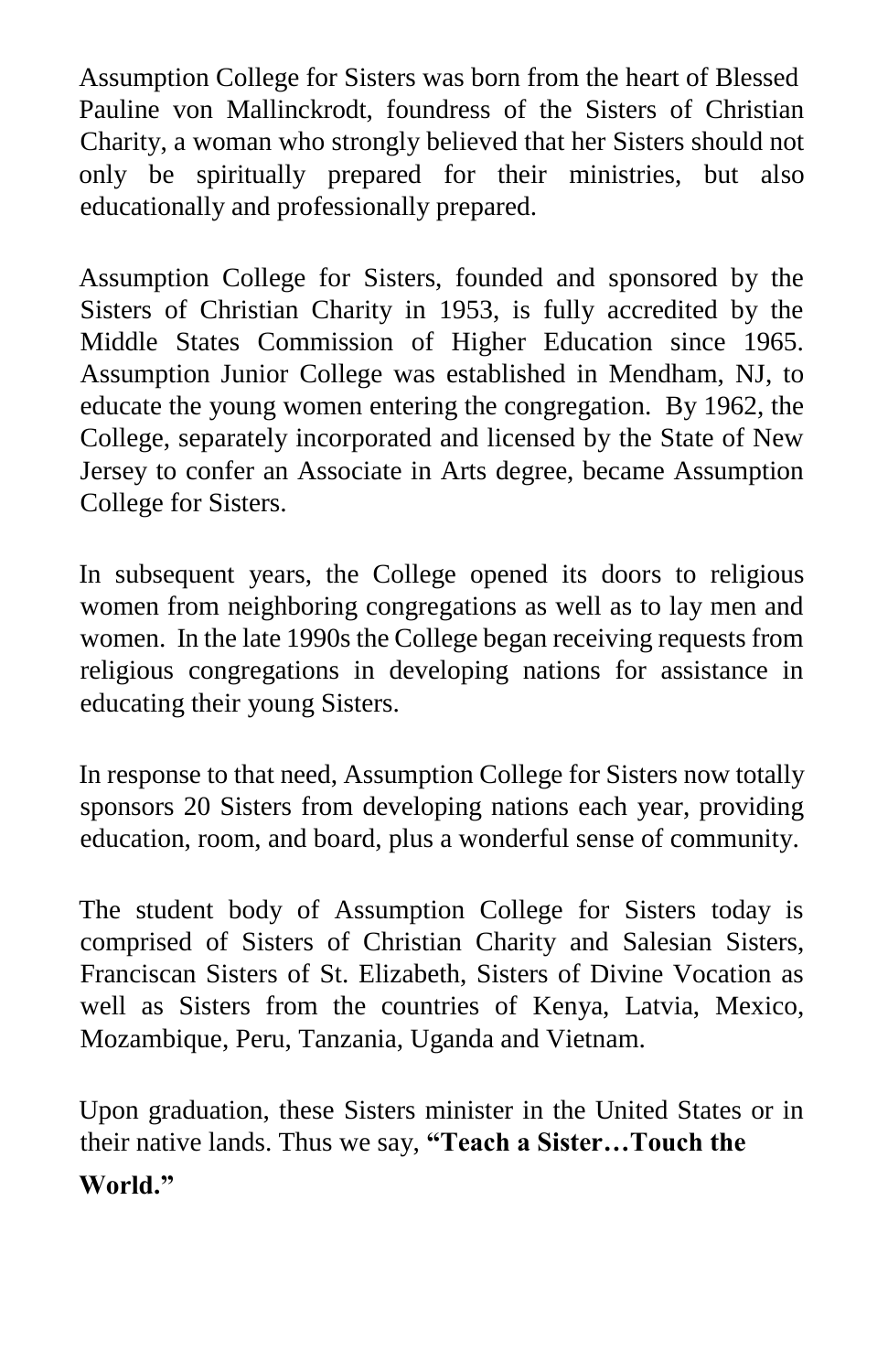Assumption College for Sisters was born from the heart of Blessed Pauline von Mallinckrodt, foundress of the Sisters of Christian Charity, a woman who strongly believed that her Sisters should not only be spiritually prepared for their ministries, but also educationally and professionally prepared.

Assumption College for Sisters, founded and sponsored by the Sisters of Christian Charity in 1953, is fully accredited by the Middle States Commission of Higher Education since 1965. Assumption Junior College was established in Mendham, NJ, to educate the young women entering the congregation. By 1962, the College, separately incorporated and licensed by the State of New Jersey to confer an Associate in Arts degree, became Assumption College for Sisters.

In subsequent years, the College opened its doors to religious women from neighboring congregations as well as to lay men and women. In the late 1990s the College began receiving requests from religious congregations in developing nations for assistance in educating their young Sisters.

In response to that need, Assumption College for Sisters now totally sponsors 20 Sisters from developing nations each year, providing education, room, and board, plus a wonderful sense of community.

The student body of Assumption College for Sisters today is comprised of Sisters of Christian Charity and Salesian Sisters, Franciscan Sisters of St. Elizabeth, Sisters of Divine Vocation as well as Sisters from the countries of Kenya, Latvia, Mexico, Mozambique, Peru, Tanzania, Uganda and Vietnam.

Upon graduation, these Sisters minister in the United States or in their native lands. Thus we say, **"Teach a Sister…Touch the** 

#### **World."**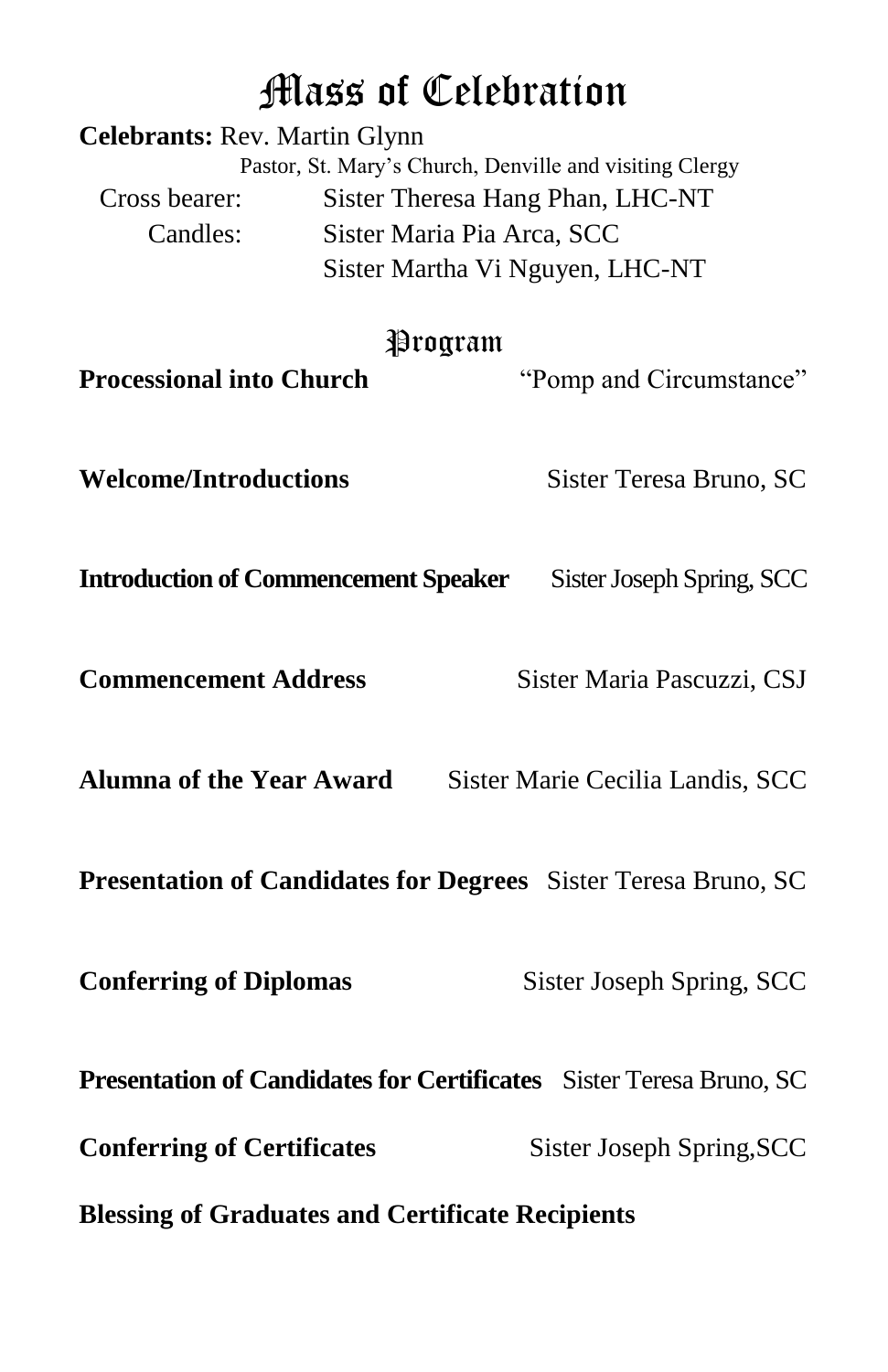### Mass of Celebration

| <b>Celebrants: Rev. Martin Glynn</b>                                | Pastor, St. Mary's Church, Denville and visiting Clergy |                                                                |
|---------------------------------------------------------------------|---------------------------------------------------------|----------------------------------------------------------------|
| Cross bearer:                                                       | Sister Theresa Hang Phan, LHC-NT                        |                                                                |
| Candles:                                                            | Sister Maria Pia Arca, SCC                              |                                                                |
|                                                                     | Sister Martha Vi Nguyen, LHC-NT                         |                                                                |
| Program                                                             |                                                         |                                                                |
| <b>Processional into Church</b>                                     |                                                         | "Pomp and Circumstance"                                        |
|                                                                     |                                                         |                                                                |
| <b>Welcome/Introductions</b>                                        |                                                         | Sister Teresa Bruno, SC                                        |
|                                                                     |                                                         |                                                                |
| <b>Introduction of Commencement Speaker</b>                         |                                                         | Sister Joseph Spring, SCC                                      |
|                                                                     |                                                         |                                                                |
| <b>Commencement Address</b>                                         |                                                         | Sister Maria Pascuzzi, CSJ                                     |
|                                                                     |                                                         |                                                                |
| <b>Alumna of the Year Award</b>                                     |                                                         | Sister Marie Cecilia Landis, SCC                               |
|                                                                     |                                                         |                                                                |
|                                                                     |                                                         | Presentation of Candidates for Degrees Sister Teresa Bruno, SC |
|                                                                     |                                                         |                                                                |
| <b>Conferring of Diplomas</b>                                       |                                                         | Sister Joseph Spring, SCC                                      |
| Presentation of Candidates for Certificates Sister Teresa Bruno, SC |                                                         |                                                                |
|                                                                     |                                                         |                                                                |
| <b>Conferring of Certificates</b>                                   |                                                         | Sister Joseph Spring, SCC                                      |
| <b>Blessing of Graduates and Certificate Recipients</b>             |                                                         |                                                                |